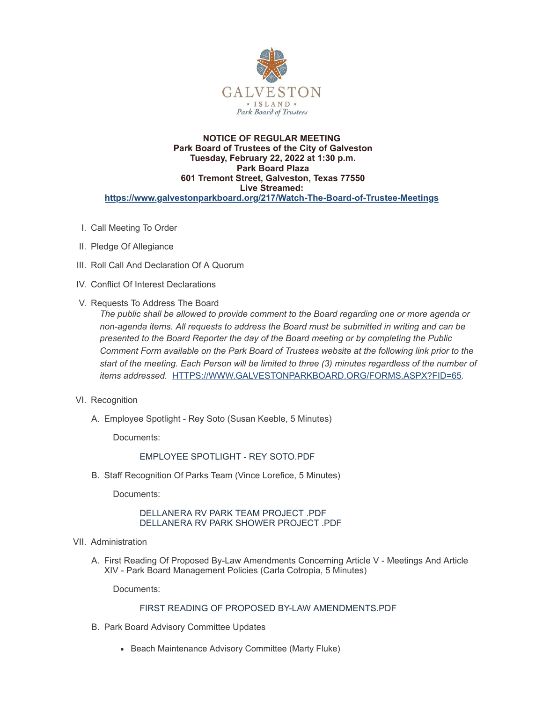

#### **NOTICE OF REGULAR MEETING Park Board of Trustees of the City of Galveston Tuesday, February 22, 2022 at 1:30 p.m. Park Board Plaza 601 Tremont Street, Galveston, Texas 77550 Live Streamed: <https://www.galvestonparkboard.org/217/Watch-The-Board-of-Trustee-Meetings>**

- I. Call Meeting To Order
- II. Pledge Of Allegiance
- III. Roll Call And Declaration Of A Quorum
- IV. Conflict Of Interest Declarations
- V. Requests To Address The Board

*The public shall be allowed to provide comment to the Board regarding one or more agenda or non-agenda items. All requests to address the Board must be submitted in writing and can be presented to the Board Reporter the day of the Board meeting or by completing the Public Comment Form available on the Park Board of Trustees website at the following link prior to the start of the meeting. Each Person will be limited to three (3) minutes regardless of the number of items addressed.* [HTTPS://WWW.GALVESTONPARKBOARD.ORG/FORMS.ASPX?FID=65](https://www.galvestonparkboard.org/forms.aspx?FID=65)*.*

- VI. Recognition
	- A. Employee Spotlight Rey Soto (Susan Keeble, 5 Minutes)

Documents:

# EMPLOYEE [SPOTLIGHT](https://www.galvestonparkboard.org/AgendaCenter/ViewFile/Item/7300?fileID=10713) - REY SOTO.PDF

B. Staff Recognition Of Parks Team (Vince Lorefice, 5 Minutes)

Documents:

## [DELLANERA](https://www.galvestonparkboard.org/AgendaCenter/ViewFile/Item/7350?fileID=10790) RV PARK TEAM PROJECT .PDF [DELLANERA](https://www.galvestonparkboard.org/AgendaCenter/ViewFile/Item/7350?fileID=10791) RV PARK SHOWER PROJECT .PDF

- VII. Administration
	- A. First Reading Of Proposed By-Law Amendments Concerning Article V Meetings And Article XIV - Park Board Management Policies (Carla Cotropia, 5 Minutes)

Documents:

# FIRST READING OF PROPOSED BY-LAW [AMENDMENTS.PDF](https://www.galvestonparkboard.org/AgendaCenter/ViewFile/Item/7367?fileID=10802)

- B. Park Board Advisory Committee Updates
	- Beach Maintenance Advisory Committee (Marty Fluke)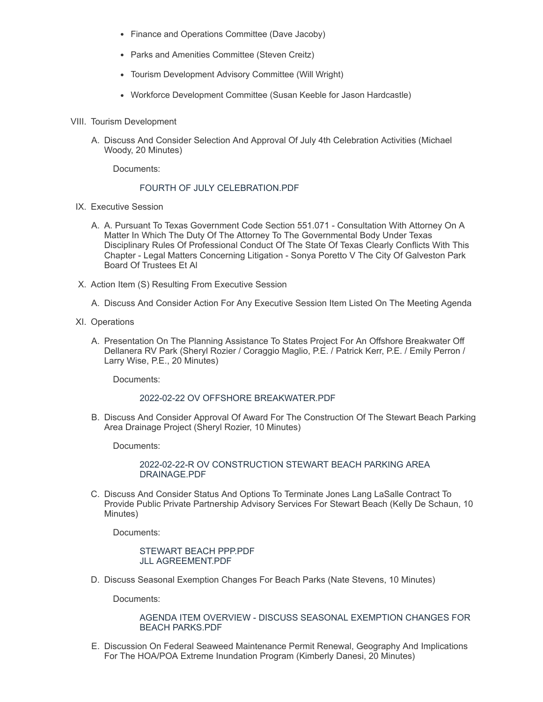- Finance and Operations Committee (Dave Jacoby)
- Parks and Amenities Committee (Steven Creitz)
- Tourism Development Advisory Committee (Will Wright)
- Workforce Development Committee (Susan Keeble for Jason Hardcastle)
- VIII. Tourism Development
	- A. Discuss And Consider Selection And Approval Of July 4th Celebration Activities (Michael Woody, 20 Minutes)

Documents:

#### FOURTH OF JULY [CELEBRATION.PDF](https://www.galvestonparkboard.org/AgendaCenter/ViewFile/Item/6926?fileID=10811)

- IX. Executive Session
	- A. A. Pursuant To Texas Government Code Section 551.071 Consultation With Attorney On A Matter In Which The Duty Of The Attorney To The Governmental Body Under Texas Disciplinary Rules Of Professional Conduct Of The State Of Texas Clearly Conflicts With This Chapter - Legal Matters Concerning Litigation - Sonya Poretto V The City Of Galveston Park Board Of Trustees Et Al
- X. Action Item (S) Resulting From Executive Session
	- A. Discuss And Consider Action For Any Executive Session Item Listed On The Meeting Agenda
- XI. Operations
	- A. Presentation On The Planning Assistance To States Project For An Offshore Breakwater Off Dellanera RV Park (Sheryl Rozier / Coraggio Maglio, P.E. / Patrick Kerr, P.E. / Emily Perron / Larry Wise, P.E., 20 Minutes)

Documents:

#### 2022-02-22 OV OFFSHORE [BREAKWATER.PDF](https://www.galvestonparkboard.org/AgendaCenter/ViewFile/Item/7326?fileID=10746)

B. Discuss And Consider Approval Of Award For The Construction Of The Stewart Beach Parking Area Drainage Project (Sheryl Rozier, 10 Minutes)

Documents:

#### 2022-02-22-R OV [CONSTRUCTION](https://www.galvestonparkboard.org/AgendaCenter/ViewFile/Item/7327?fileID=10806) STEWART BEACH PARKING AREA DRAINAGE.PDF

C. Discuss And Consider Status And Options To Terminate Jones Lang LaSalle Contract To Provide Public Private Partnership Advisory Services For Stewart Beach (Kelly De Schaun, 10 Minutes)

Documents:

#### [STEWART](https://www.galvestonparkboard.org/AgendaCenter/ViewFile/Item/7385?fileID=10809) BEACH PPP.PDF JLL [AGREEMENT.PDF](https://www.galvestonparkboard.org/AgendaCenter/ViewFile/Item/7385?fileID=10810)

D. Discuss Seasonal Exemption Changes For Beach Parks (Nate Stevens, 10 Minutes)

Documents:

#### AGENDA ITEM OVERVIEW - DISCUSS SEASONAL [EXEMPTION](https://www.galvestonparkboard.org/AgendaCenter/ViewFile/Item/7388?fileID=10804) CHANGES FOR BEACH PARKS.PDF

E. Discussion On Federal Seaweed Maintenance Permit Renewal, Geography And Implications For The HOA/POA Extreme Inundation Program (Kimberly Danesi, 20 Minutes)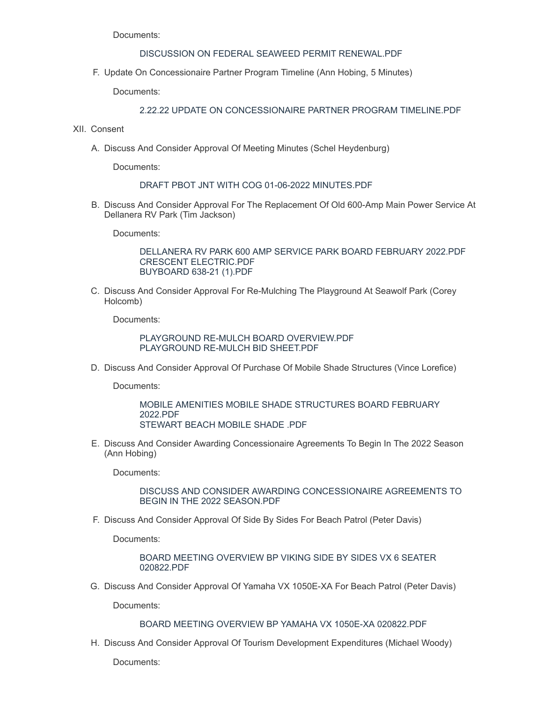Documents:

# DISCUSSION ON FEDERAL SEAWEED PERMIT [RENEWAL.PDF](https://www.galvestonparkboard.org/AgendaCenter/ViewFile/Item/7355?fileID=10808)

F. Update On Concessionaire Partner Program Timeline (Ann Hobing, 5 Minutes)

Documents:

## 2.22.22 UPDATE ON [CONCESSIONAIRE](https://www.galvestonparkboard.org/AgendaCenter/ViewFile/Item/7332?fileID=10771) PARTNER PROGRAM TIMELINE.PDF

- XII. Consent
	- A. Discuss And Consider Approval Of Meeting Minutes (Schel Heydenburg)

Documents:

#### DRAFT PBOT JNT WITH COG 01-06-2022 [MINUTES.PDF](https://www.galvestonparkboard.org/AgendaCenter/ViewFile/Item/7368?fileID=10803)

B. Discuss And Consider Approval For The Replacement Of Old 600-Amp Main Power Service At Dellanera RV Park (Tim Jackson)

Documents:

[DELLANERA](https://www.galvestonparkboard.org/AgendaCenter/ViewFile/Item/7352?fileID=10792) RV PARK 600 AMP SERVICE PARK BOARD FEBRUARY 2022.PDF CRESCENT [ELECTRIC.PDF](https://www.galvestonparkboard.org/AgendaCenter/ViewFile/Item/7352?fileID=10798) [BUYBOARD](https://www.galvestonparkboard.org/AgendaCenter/ViewFile/Item/7352?fileID=10788) 638-21 (1).PDF

C. Discuss And Consider Approval For Re-Mulching The Playground At Seawolf Park (Corey Holcomb)

Documents:

PLAYGROUND RE-MULCH BOARD [OVERVIEW.PDF](https://www.galvestonparkboard.org/AgendaCenter/ViewFile/Item/7331?fileID=10770) [PLAYGROUND](https://www.galvestonparkboard.org/AgendaCenter/ViewFile/Item/7331?fileID=10797) RE-MULCH BID SHEET.PDF

D. Discuss And Consider Approval Of Purchase Of Mobile Shade Structures (Vince Lorefice)

Documents:

MOBILE AMENITIES MOBILE SHADE [STRUCTURES](https://www.galvestonparkboard.org/AgendaCenter/ViewFile/Item/7351?fileID=10783) BOARD FEBRUARY 2022.PDF [STEWART](https://www.galvestonparkboard.org/AgendaCenter/ViewFile/Item/7351?fileID=10784) BEACH MOBILE SHADE .PDF

E. Discuss And Consider Awarding Concessionaire Agreements To Begin In The 2022 Season (Ann Hobing)

Documents:

DISCUSS AND CONSIDER AWARDING [CONCESSIONAIRE](https://www.galvestonparkboard.org/AgendaCenter/ViewFile/Item/7333?fileID=10789) AGREEMENTS TO BEGIN IN THE 2022 SEASON.PDF

F. Discuss And Consider Approval Of Side By Sides For Beach Patrol (Peter Davis)

Documents:

BOARD MEETING OVERVIEW BP VIKING SIDE BY SIDES VX 6 SEATER [020822.PDF](https://www.galvestonparkboard.org/AgendaCenter/ViewFile/Item/7353?fileID=10793)

G. Discuss And Consider Approval Of Yamaha VX 1050E-XA For Beach Patrol (Peter Davis)

Documents:

BOARD MEETING OVERVIEW BP YAMAHA VX 1050E-XA [020822.PDF](https://www.galvestonparkboard.org/AgendaCenter/ViewFile/Item/7354?fileID=10794)

H. Discuss And Consider Approval Of Tourism Development Expenditures (Michael Woody)

Documents: